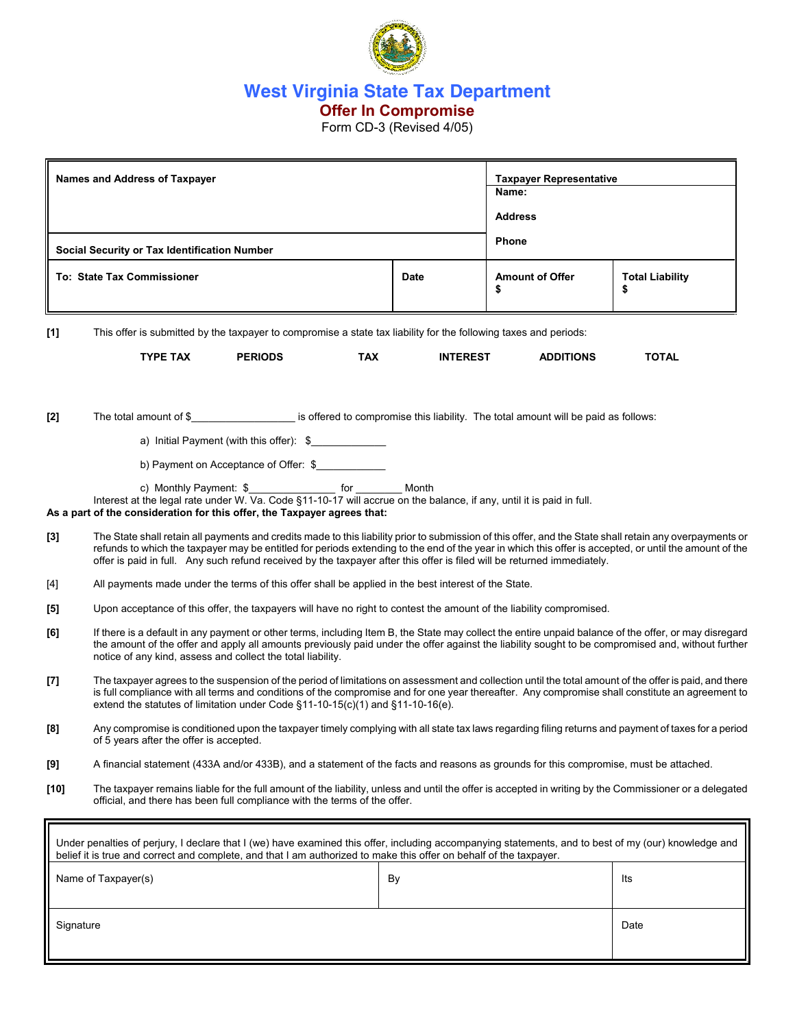

**West Virginia State Tax Department** 

# **Offer In Compromise**

Form CD-3 (Revised 4/05)

| <b>Names and Address of Taxpayer</b>                                                                                                                                                                                                                                       |                                                                                                                                                                                                                                                                                                                                                                                                                                               |                                          |             |                              | <b>Taxpayer Representative</b><br>Name:<br><b>Address</b> |              |  |
|----------------------------------------------------------------------------------------------------------------------------------------------------------------------------------------------------------------------------------------------------------------------------|-----------------------------------------------------------------------------------------------------------------------------------------------------------------------------------------------------------------------------------------------------------------------------------------------------------------------------------------------------------------------------------------------------------------------------------------------|------------------------------------------|-------------|------------------------------|-----------------------------------------------------------|--------------|--|
| Social Security or Tax Identification Number                                                                                                                                                                                                                               |                                                                                                                                                                                                                                                                                                                                                                                                                                               |                                          |             |                              | <b>Phone</b>                                              |              |  |
| <b>To: State Tax Commissioner</b>                                                                                                                                                                                                                                          |                                                                                                                                                                                                                                                                                                                                                                                                                                               |                                          | <b>Date</b> | <b>Amount of Offer</b><br>\$ | <b>Total Liability</b><br>\$                              |              |  |
| $[1]$                                                                                                                                                                                                                                                                      | This offer is submitted by the taxpayer to compromise a state tax liability for the following taxes and periods:                                                                                                                                                                                                                                                                                                                              |                                          |             |                              |                                                           |              |  |
|                                                                                                                                                                                                                                                                            | <b>TYPE TAX</b>                                                                                                                                                                                                                                                                                                                                                                                                                               | <b>PERIODS</b>                           | <b>TAX</b>  | <b>INTEREST</b>              | <b>ADDITIONS</b>                                          | <b>TOTAL</b> |  |
| $[2]$                                                                                                                                                                                                                                                                      | The total amount of \$                                                                                                                                                                                                                                                                                                                                                                                                                        |                                          |             |                              |                                                           |              |  |
|                                                                                                                                                                                                                                                                            |                                                                                                                                                                                                                                                                                                                                                                                                                                               | a) Initial Payment (with this offer): \$ |             |                              |                                                           |              |  |
|                                                                                                                                                                                                                                                                            |                                                                                                                                                                                                                                                                                                                                                                                                                                               | b) Payment on Acceptance of Offer: \$    |             |                              |                                                           |              |  |
| c) Monthly Payment: \$___________________ for __________ Month<br>Interest at the legal rate under W. Va. Code §11-10-17 will accrue on the balance, if any, until it is paid in full.<br>As a part of the consideration for this offer, the Taxpayer agrees that:         |                                                                                                                                                                                                                                                                                                                                                                                                                                               |                                          |             |                              |                                                           |              |  |
| $[3]$                                                                                                                                                                                                                                                                      | The State shall retain all payments and credits made to this liability prior to submission of this offer, and the State shall retain any overpayments or<br>refunds to which the taxpayer may be entitled for periods extending to the end of the year in which this offer is accepted, or until the amount of the<br>offer is paid in full. Any such refund received by the taxpayer after this offer is filed will be returned immediately. |                                          |             |                              |                                                           |              |  |
| [4]                                                                                                                                                                                                                                                                        | All payments made under the terms of this offer shall be applied in the best interest of the State.                                                                                                                                                                                                                                                                                                                                           |                                          |             |                              |                                                           |              |  |
| $[5]$                                                                                                                                                                                                                                                                      | Upon acceptance of this offer, the taxpayers will have no right to contest the amount of the liability compromised.                                                                                                                                                                                                                                                                                                                           |                                          |             |                              |                                                           |              |  |
| [6]                                                                                                                                                                                                                                                                        | If there is a default in any payment or other terms, including Item B, the State may collect the entire unpaid balance of the offer, or may disregard<br>the amount of the offer and apply all amounts previously paid under the offer against the liability sought to be compromised and, without further<br>notice of any kind, assess and collect the total liability.                                                                     |                                          |             |                              |                                                           |              |  |
| $[7]$                                                                                                                                                                                                                                                                      | The taxpayer agrees to the suspension of the period of limitations on assessment and collection until the total amount of the offer is paid, and there<br>is full compliance with all terms and conditions of the compromise and for one year thereafter. Any compromise shall constitute an agreement to<br>extend the statutes of limitation under Code §11-10-15(c)(1) and §11-10-16(e).                                                   |                                          |             |                              |                                                           |              |  |
| [8]                                                                                                                                                                                                                                                                        | Any compromise is conditioned upon the taxpayer timely complying with all state tax laws regarding filing returns and payment of taxes for a period<br>of 5 years after the offer is accepted.                                                                                                                                                                                                                                                |                                          |             |                              |                                                           |              |  |
| [9]                                                                                                                                                                                                                                                                        | A financial statement (433A and/or 433B), and a statement of the facts and reasons as grounds for this compromise, must be attached.                                                                                                                                                                                                                                                                                                          |                                          |             |                              |                                                           |              |  |
| [10]                                                                                                                                                                                                                                                                       | The taxpayer remains liable for the full amount of the liability, unless and until the offer is accepted in writing by the Commissioner or a delegated<br>official, and there has been full compliance with the terms of the offer.                                                                                                                                                                                                           |                                          |             |                              |                                                           |              |  |
| Under penalties of perjury, I declare that I (we) have examined this offer, including accompanying statements, and to best of my (our) knowledge and<br>belief it is true and correct and complete, and that I am authorized to make this offer on behalf of the taxpayer. |                                                                                                                                                                                                                                                                                                                                                                                                                                               |                                          |             |                              |                                                           |              |  |
|                                                                                                                                                                                                                                                                            | Name of Taxpayer(s)                                                                                                                                                                                                                                                                                                                                                                                                                           |                                          |             | By                           |                                                           | lts          |  |
| Signature                                                                                                                                                                                                                                                                  |                                                                                                                                                                                                                                                                                                                                                                                                                                               |                                          |             |                              |                                                           | Date         |  |
|                                                                                                                                                                                                                                                                            |                                                                                                                                                                                                                                                                                                                                                                                                                                               |                                          |             |                              |                                                           |              |  |